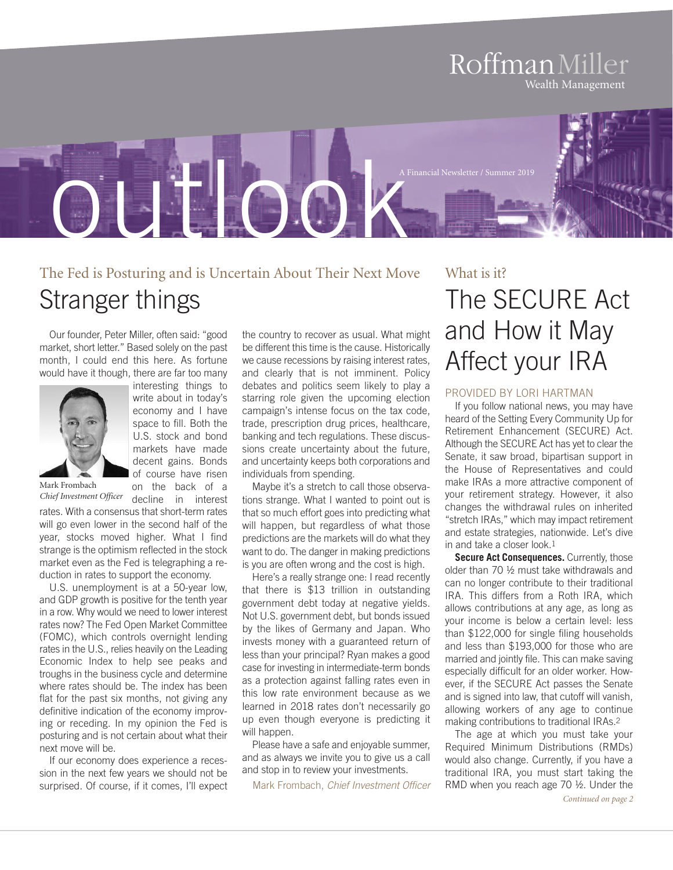# RoffmanMiller Wealth Management



# The Fed is Posturing and is Uncertain About Their Next Move Stranger things

Our founder, Peter Miller, often said: "good market, short letter." Based solely on the past month, I could end this here. As fortune would have it though, there are far too many

> interesting things to write about in today's economy and I have space to fill. Both the U.S. stock and bond markets have made decent gains. Bonds of course have risen on the back of a



Mark Frombach

*Chief Investment Officer* decline in interest rates. With a consensus that short-term rates will go even lower in the second half of the year, stocks moved higher. What I find strange is the optimism reflected in the stock market even as the Fed is telegraphing a reduction in rates to support the economy.

U.S. unemployment is at a 50-year low, and GDP growth is positive for the tenth year in a row. Why would we need to lower interest rates now? The Fed Open Market Committee (FOMC), which controls overnight lending rates in the U.S., relies heavily on the Leading Economic Index to help see peaks and troughs in the business cycle and determine where rates should be. The index has been flat for the past six months, not giving any definitive indication of the economy improving or receding. In my opinion the Fed is posturing and is not certain about what their next move will be.

If our economy does experience a recession in the next few years we should not be surprised. Of course, if it comes, I'll expect

the country to recover as usual. What might be different this time is the cause. Historically we cause recessions by raising interest rates, and clearly that is not imminent. Policy debates and politics seem likely to play a starring role given the upcoming election campaign's intense focus on the tax code, trade, prescription drug prices, healthcare, banking and tech regulations. These discussions create uncertainty about the future, and uncertainty keeps both corporations and individuals from spending.

Maybe it's a stretch to call those observations strange. What I wanted to point out is that so much effort goes into predicting what will happen, but regardless of what those predictions are the markets will do what they want to do. The danger in making predictions is you are often wrong and the cost is high.

Here's a really strange one: I read recently that there is \$13 trillion in outstanding government debt today at negative yields. Not U.S. government debt, but bonds issued by the likes of Germany and Japan. Who invests money with a guaranteed return of less than your principal? Ryan makes a good case for investing in intermediate-term bonds as a protection against falling rates even in this low rate environment because as we learned in 2018 rates don't necessarily go up even though everyone is predicting it will happen.

Please have a safe and enjoyable summer, and as always we invite you to give us a call and stop in to review your investments.

Mark Frombach, *Chief Investment Officer*

# What is it? The SECURE Act and How it May Affect your IRA

### PROVIDED BY LORI HARTMAN

If you follow national news, you may have heard of the Setting Every Community Up for Retirement Enhancement (SECURE) Act. Although the SECURE Act has yet to clear the Senate, it saw broad, bipartisan support in the House of Representatives and could make IRAs a more attractive component of your retirement strategy. However, it also changes the withdrawal rules on inherited "stretch IRAs," which may impact retirement and estate strategies, nationwide. Let's dive in and take a closer look.1

**Secure Act Consequences.** Currently, those older than 70 ½ must take withdrawals and can no longer contribute to their traditional IRA. This differs from a Roth IRA, which allows contributions at any age, as long as your income is below a certain level: less than \$122,000 for single filing households and less than \$193,000 for those who are married and jointly file. This can make saving especially difficult for an older worker. However, if the SECURE Act passes the Senate and is signed into law, that cutoff will vanish, allowing workers of any age to continue making contributions to traditional IRAs.2

The age at which you must take your Required Minimum Distributions (RMDs) would also change. Currently, if you have a traditional IRA, you must start taking the RMD when you reach age 70 ½. Under the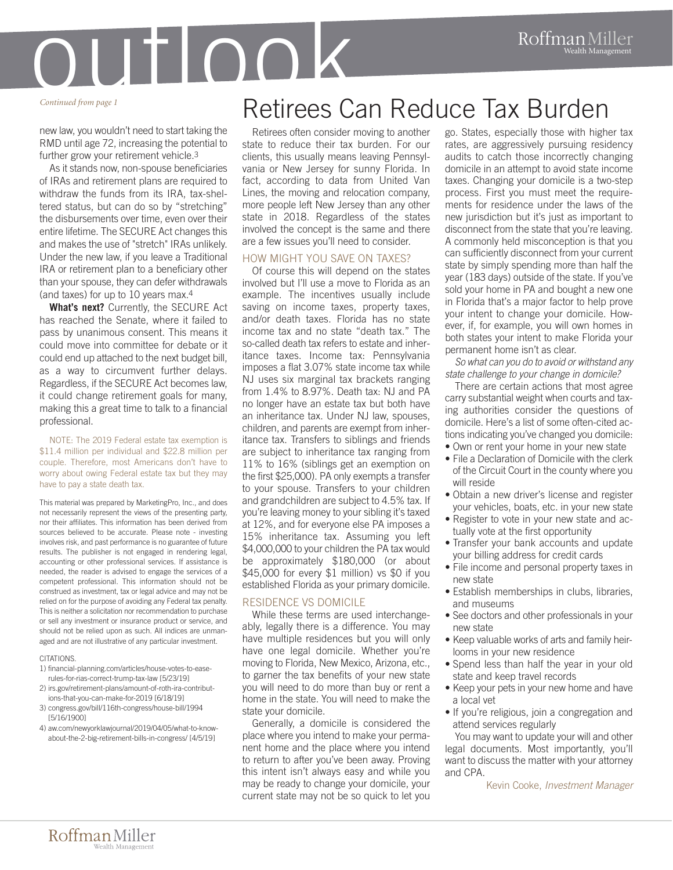

#### *Continued from page 1*

new law, you wouldn't need to start taking the RMD until age 72, increasing the potential to further grow your retirement vehicle.3

As it stands now, non-spouse beneficiaries of IRAs and retirement plans are required to withdraw the funds from its IRA, tax-sheltered status, but can do so by "stretching" the disbursements over time, even over their entire lifetime. The SECURE Act changes this and makes the use of "stretch" IRAs unlikely. Under the new law, if you leave a Traditional IRA or retirement plan to a beneficiary other than your spouse, they can defer withdrawals (and taxes) for up to 10 years max.4

**What's next?** Currently, the SECURE Act has reached the Senate, where it failed to pass by unanimous consent. This means it could move into committee for debate or it could end up attached to the next budget bill, as a way to circumvent further delays. Regardless, if the SECURE Act becomes law, it could change retirement goals for many, making this a great time to talk to a financial professional.

#### NOTE: The 2019 Federal estate tax exemption is \$11.4 million per individual and \$22.8 million per couple. Therefore, most Americans don't have to worry about owing Federal estate tax but they may have to pay a state death tax.

This material was prepared by MarketingPro, Inc., and does not necessarily represent the views of the presenting party, nor their affiliates. This information has been derived from sources believed to be accurate. Please note - investing involves risk, and past performance is no guarantee of future results. The publisher is not engaged in rendering legal, accounting or other professional services. If assistance is needed, the reader is advised to engage the services of a competent professional. This information should not be construed as investment, tax or legal advice and may not be relied on for the purpose of avoiding any Federal tax penalty. This is neither a solicitation nor recommendation to purchase or sell any investment or insurance product or service, and should not be relied upon as such. All indices are unmanaged and are not illustrative of any particular investment.

### CITATIONS.

- 1) financial-planning.com/articles/house-votes-to-easerules-for-rias-correct-trump-tax-law [5/23/19]
- 2) irs.gov/retirement-plans/amount-of-roth-ira-contributions-that-you-can-make-for-2019 [6/18/19]
- 3) congress.gov/bill/116th-congress/house-bill/1994 [5/16/1900]
- 4) aw.com/newyorklawjournal/2019/04/05/what-to-knowabout-the-2-big-retirement-bills-in-congress/ [4/5/19]

Retirees often consider moving to another state to reduce their tax burden. For our clients, this usually means leaving Pennsylvania or New Jersey for sunny Florida. In fact, according to data from United Van Lines, the moving and relocation company, more people left New Jersey than any other state in 2018. Regardless of the states involved the concept is the same and there are a few issues you'll need to consider.

### HOW MIGHT YOU SAVE ON TAXES?

Of course this will depend on the states involved but I'll use a move to Florida as an example. The incentives usually include saving on income taxes, property taxes, and/or death taxes. Florida has no state income tax and no state "death tax." The so-called death tax refers to estate and inheritance taxes. Income tax: Pennsylvania imposes a flat 3.07% state income tax while NJ uses six marginal tax brackets ranging from 1.4% to 8.97%. Death tax: NJ and PA no longer have an estate tax but both have an inheritance tax. Under NJ law, spouses, children, and parents are exempt from inheritance tax. Transfers to siblings and friends are subject to inheritance tax ranging from 11% to 16% (siblings get an exemption on the first \$25,000). PA only exempts a transfer to your spouse. Transfers to your children and grandchildren are subject to 4.5% tax. If you're leaving money to your sibling it's taxed at 12%, and for everyone else PA imposes a 15% inheritance tax. Assuming you left \$4,000,000 to your children the PA tax would be approximately \$180,000 (or about \$45,000 for every \$1 million) vs \$0 if you established Florida as your primary domicile.

### RESIDENCE VS DOMICILE

While these terms are used interchangeably, legally there is a difference. You may have multiple residences but you will only have one legal domicile. Whether you're moving to Florida, New Mexico, Arizona, etc., to garner the tax benefits of your new state you will need to do more than buy or rent a home in the state. You will need to make the state your domicile.

Generally, a domicile is considered the place where you intend to make your permanent home and the place where you intend to return to after you've been away. Proving this intent isn't always easy and while you may be ready to change your domicile, your current state may not be so quick to let you

go. States, especially those with higher tax rates, are aggressively pursuing residency audits to catch those incorrectly changing domicile in an attempt to avoid state income taxes. Changing your domicile is a two-step process. First you must meet the requirements for residence under the laws of the new jurisdiction but it's just as important to disconnect from the state that you're leaving. A commonly held misconception is that you can sufficiently disconnect from your current state by simply spending more than half the year (183 days) outside of the state. If you've sold your home in PA and bought a new one in Florida that's a major factor to help prove your intent to change your domicile. However, if, for example, you will own homes in both states your intent to make Florida your permanent home isn't as clear.

*So what can you do to avoid or withstand any state challenge to your change in domicile?*

There are certain actions that most agree carry substantial weight when courts and taxing authorities consider the questions of domicile. Here's a list of some often-cited actions indicating you've changed you domicile:

- Own or rent your home in your new state
- File a Declaration of Domicile with the clerk of the Circuit Court in the county where you will reside
- Obtain a new driver's license and register your vehicles, boats, etc. in your new state
- Register to vote in your new state and actually vote at the first opportunity
- Transfer your bank accounts and update your billing address for credit cards
- File income and personal property taxes in new state
- Establish memberships in clubs, libraries, and museums
- See doctors and other professionals in your new state
- Keep valuable works of arts and family heirlooms in your new residence
- Spend less than half the year in your old state and keep travel records
- Keep your pets in your new home and have a local vet
- If you're religious, join a congregation and attend services regularly

You may want to update your will and other legal documents. Most importantly, you'll want to discuss the matter with your attorney and CPA.

Kevin Cooke, *Investment Manager*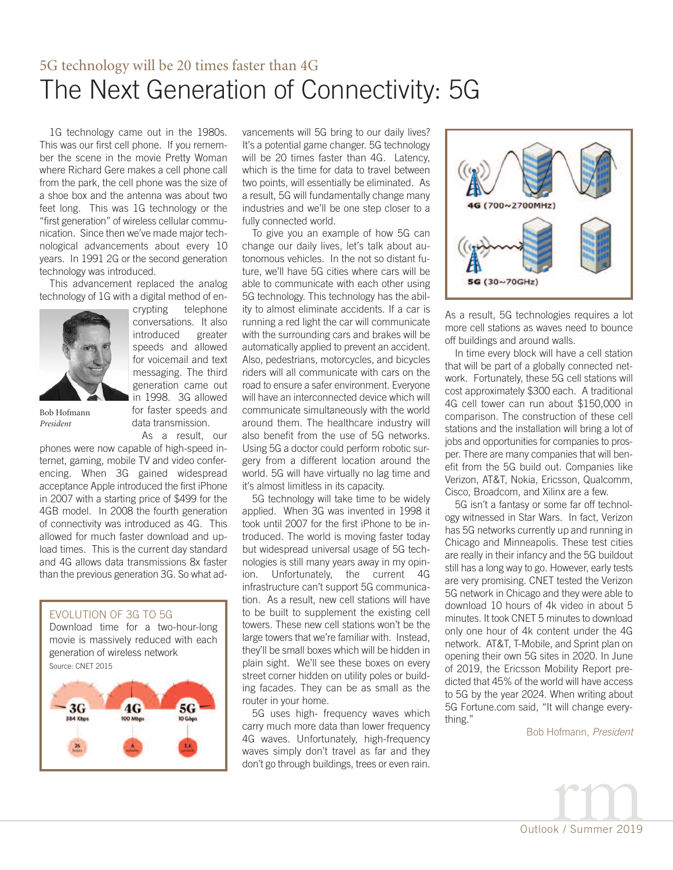# 5G technology will be 20 times faster than 4G The Next Generation of Connectivity: 5G

1G technology came out in the 1980s. This was our first cell phone. If you remember the scene in the movie Pretty Woman where Richard Gere makes a cell phone call from the park, the cell phone was the size of a shoe box and the antenna was about two feet long. This was 1G technology or the "first generation" of wireless cellular communication. Since then we've made major technological advancements about every 10 years. In 1991 2G or the second generation technology was introduced.

This advancement replaced the analog technology of 1G with a digital method of en-



Bob Hofmann *President*

crypting telephone conversations. It also introduced greater speeds and allowed for voicemail and text messaging. The third generation came out in 1998. 3G allowed for faster speeds and data transmission.

As a result, our phones were now capable of high-speed internet, gaming, mobile TV and video conferencing. When 3G gained widespread acceptance Apple introduced the first iPhone in 2007 with a starting price of \$499 for the 4GB model. In 2008 the fourth generation of connectivity was introduced as 4G. This allowed for much faster download and upload times. This is the current day standard and 4G allows data transmissions 8x faster than the previous generation 3G. So what ad-

### EVOLUTION OF 3G TO 5G

Download time for a two-hour-long movie is massively reduced with each generation of wireless network Source: CNET 2015



vancements will 5G bring to our daily lives? It's a potential game changer. 5G technology will be 20 times faster than 4G. Latency, which is the time for data to travel between two points, will essentially be eliminated. As a result, 5G will fundamentally change many industries and we'll be one step closer to a fully connected world.

To give you an example of how 5G can change our daily lives, let's talk about autonomous vehicles. In the not so distant future, we'll have 5G cities where cars will be able to communicate with each other using 5G technology. This technology has the ability to almost eliminate accidents. If a car is running a red light the car will communicate with the surrounding cars and brakes will be automatically applied to prevent an accident. Also, pedestrians, motorcycles, and bicycles riders will all communicate with cars on the road to ensure a safer environment. Everyone will have an interconnected device which will communicate simultaneously with the world around them. The healthcare industry will also benefit from the use of 5G networks. Using 5G a doctor could perform robotic surgery from a different location around the world. 5G will have virtually no lag time and it's almost limitless in its capacity.

5G technology will take time to be widely applied. When 3G was invented in 1998 it took until 2007 for the first iPhone to be introduced. The world is moving faster today but widespread universal usage of 5G technologies is still many years away in my opinion. Unfortunately, the current 4G infrastructure can't support 5G communication. As a result, new cell stations will have to be built to supplement the existing cell towers. These new cell stations won't be the large towers that we're familiar with. Instead, they'll be small boxes which will be hidden in plain sight. We'll see these boxes on every street corner hidden on utility poles or building facades. They can be as small as the router in your home.

5G uses high- frequency waves which carry much more data than lower frequency 4G waves. Unfortunately, high-frequency waves simply don't travel as far and they don't go through buildings, trees or even rain.



As a result, 5G technologies requires a lot more cell stations as waves need to bounce off buildings and around walls.

In time every block will have a cell station that will be part of a globally connected network. Fortunately, these 5G cell stations will cost approximately \$300 each. A traditional 4G cell tower can run about \$150,000 in comparison. The construction of these cell stations and the installation will bring a lot of jobs and opportunities for companies to prosper. There are many companies that will benefit from the 5G build out. Companies like Verizon, AT&T, Nokia, Ericsson, Qualcomm, Cisco, Broadcom, and Xilinx are a few.

5G isn't a fantasy or some far off technology witnessed in Star Wars. In fact, Verizon has 5G networks currently up and running in Chicago and Minneapolis. These test cities are really in their infancy and the 5G buildout still has a long way to go. However, early tests are very promising. CNET tested the Verizon 5G network in Chicago and they were able to download 10 hours of 4k video in about 5 minutes. It took CNET 5 minutes to download only one hour of 4k content under the 4G network. AT&T, T-Mobile, and Sprint plan on opening their own 5G sites in 2020. In June of 2019, the Ericsson Mobility Report predicted that 45% of the world will have access to 5G by the year 2024. When writing about 5G Fortune.com said, "It will change everything."

Bob Hofmann, *President*